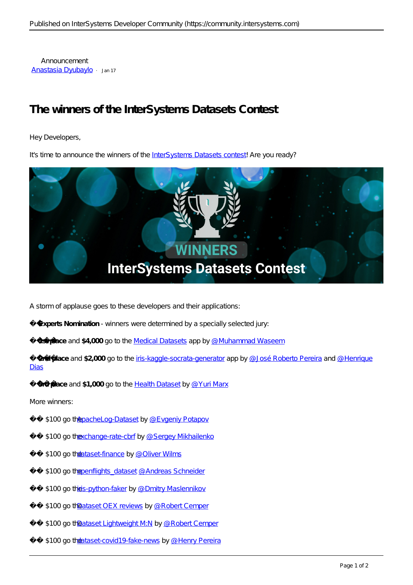Announcement [Anastasia Dyubaylo](https://community.intersystems.com/user/anastasia-dyubaylo) · Jan 17

## **The winners of the InterSystems Datasets Contest**

Hey Developers,

It's time to announce the winners of the [InterSystems Datasets contest!](https://openexchange.intersystems.com/contest/20) Are you ready?



A storm of applause goes to these developers and their applications:

**Experts Nomination** - winners were determined by a specially selected jury:

**1st place and \$4,000** go to the [Medical Datasets](https://openexchange.intersystems.com/package/Medical-Datasets-1) app by [@Muhammad Waseem](https://community.intersystems.com/user/muhammad-waseem)

2nd place and \$2,000 go to the [iris-kaggle-socrata-generator](https://openexchange.intersystems.com/package/iris-kaggle-socrata-generator) app by @ José Roberto Pereira and @ Henrique [Dias](https://community.intersystems.com/user/henrique-dias-2)

**3rd place** and **\$1,000** go to the [Health Dataset](https://openexchange.intersystems.com/package/Health-Dataset) by [@Yuri Marx](https://community.intersystems.com/user/yuri-marx)

More winners:

- \$100 go the bacheLog-Dataset by [@Evgeniy Potapov](https://community.intersystems.com/user/evgeniy-potapov)
- \$100 go the xchange-rate-cbrf by [@Sergey Mikhailenko](https://community.intersystems.com/user/sergey-mikhailenko)
- \$100 go t[he dataset-finance](https://openexchange.intersystems.com/package/dataset-finance) by [@Oliver Wilms](https://community.intersystems.com/user/oliver-wilms)
- \$100 go the penflights dataset [@Andreas Schneider](https://community.intersystems.com/user/andreas-schneider)
- \$100 go the is-python-faker by [@Dmitry Maslennikov](https://community.intersystems.com/user/dmitry-maslennikov-5)
- \$100 go the ataset OEX reviews by [@Robert Cemper](https://community.intersystems.com/user/robert-cemper-0)
- \$100 go the ataset Lightweight M:N by @ Robert Cemper
- \$100 go the ataset-covid19-fake-news by [@Henry Pereira](https://community.intersystems.com/user/henry-pereira)